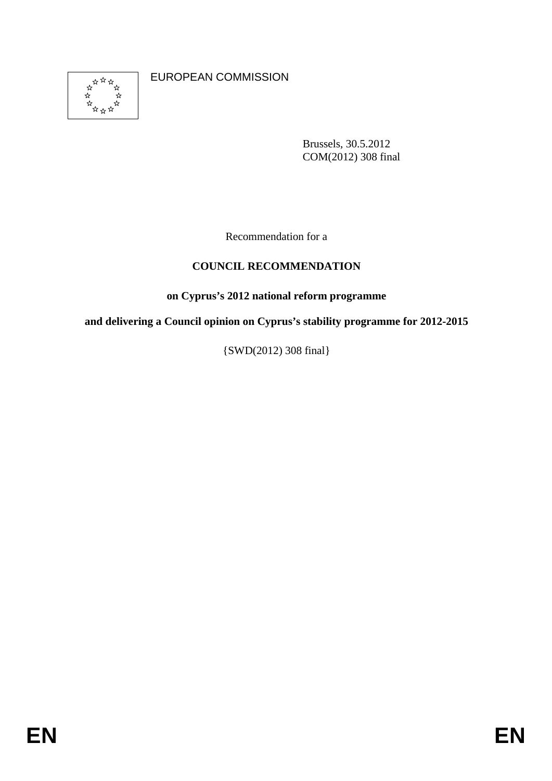

EUROPEAN COMMISSION

Brussels, 30.5.2012 COM(2012) 308 final

Recommendation for a

# **COUNCIL RECOMMENDATION**

## **on Cyprus's 2012 national reform programme**

**and delivering a Council opinion on Cyprus's stability programme for 2012-2015** 

{SWD(2012) 308 final}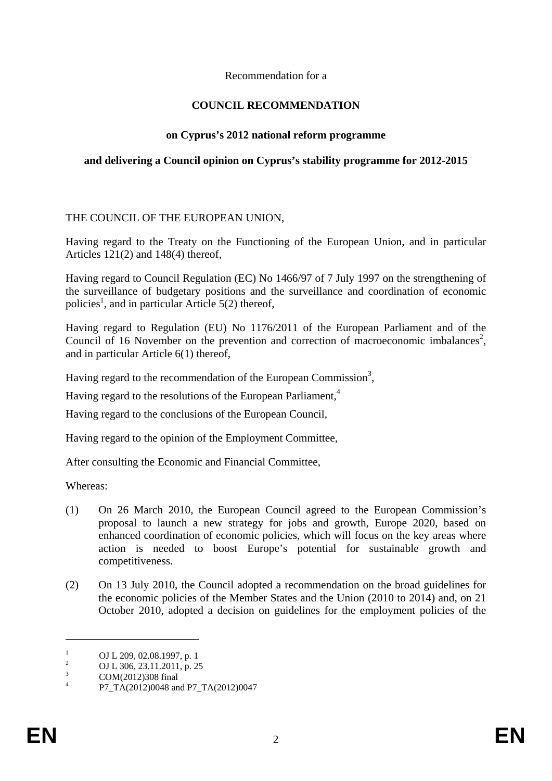### Recommendation for a

## **COUNCIL RECOMMENDATION**

## **on Cyprus's 2012 national reform programme**

### **and delivering a Council opinion on Cyprus's stability programme for 2012-2015**

### THE COUNCIL OF THE EUROPEAN UNION,

Having regard to the Treaty on the Functioning of the European Union, and in particular Articles 121(2) and 148(4) thereof,

Having regard to Council Regulation (EC) No 1466/97 of 7 July 1997 on the strengthening of the surveillance of budgetary positions and the surveillance and coordination of economic policies<sup>1</sup>, and in particular Article 5(2) thereof,

Having regard to Regulation (EU) No 1176/2011 of the European Parliament and of the Council of 16 November on the prevention and correction of macroeconomic imbalances<sup>2</sup>, and in particular Article 6(1) thereof,

Having regard to the recommendation of the European Commission<sup>3</sup>,

Having regard to the resolutions of the European Parliament,<sup>4</sup>

Having regard to the conclusions of the European Council,

Having regard to the opinion of the Employment Committee,

After consulting the Economic and Financial Committee,

Whereas:

- (1) On 26 March 2010, the European Council agreed to the European Commission's proposal to launch a new strategy for jobs and growth, Europe 2020, based on enhanced coordination of economic policies, which will focus on the key areas where action is needed to boost Europe's potential for sustainable growth and competitiveness.
- (2) On 13 July 2010, the Council adopted a recommendation on the broad guidelines for the economic policies of the Member States and the Union (2010 to 2014) and, on 21 October 2010, adopted a decision on guidelines for the employment policies of the

<u>.</u>

<sup>1</sup> OJ L 209, 02.08.1997, p. 1  $\overline{2}$ 

OJ L 306, 23.11.2011, p. 25

<sup>3</sup> COM(2012)308 final 4

P7\_TA(2012)0048 and P7\_TA(2012)0047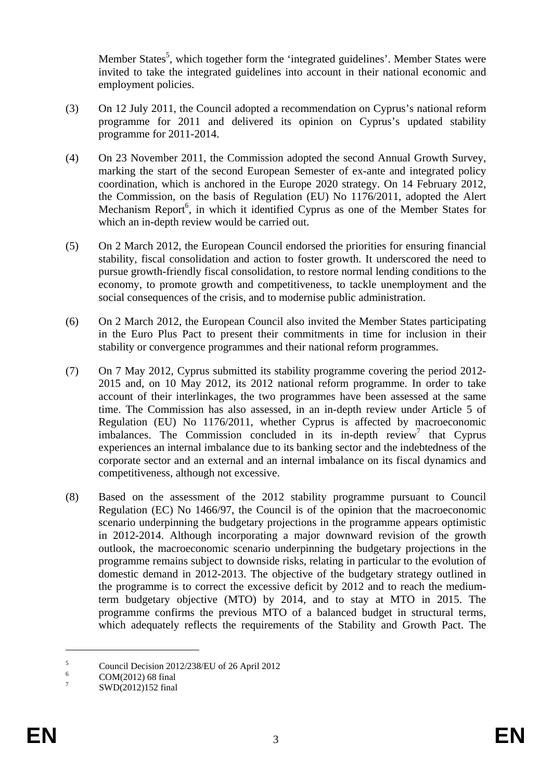Member States<sup>5</sup>, which together form the 'integrated guidelines'. Member States were invited to take the integrated guidelines into account in their national economic and employment policies.

- (3) On 12 July 2011, the Council adopted a recommendation on Cyprus's national reform programme for 2011 and delivered its opinion on Cyprus's updated stability programme for 2011-2014.
- (4) On 23 November 2011, the Commission adopted the second Annual Growth Survey, marking the start of the second European Semester of ex-ante and integrated policy coordination, which is anchored in the Europe 2020 strategy. On 14 February 2012, the Commission, on the basis of Regulation (EU) No 1176/2011, adopted the Alert Mechanism Report<sup>6</sup>, in which it identified Cyprus as one of the Member States for which an in-depth review would be carried out.
- (5) On 2 March 2012, the European Council endorsed the priorities for ensuring financial stability, fiscal consolidation and action to foster growth. It underscored the need to pursue growth-friendly fiscal consolidation, to restore normal lending conditions to the economy, to promote growth and competitiveness, to tackle unemployment and the social consequences of the crisis, and to modernise public administration.
- (6) On 2 March 2012, the European Council also invited the Member States participating in the Euro Plus Pact to present their commitments in time for inclusion in their stability or convergence programmes and their national reform programmes.
- (7) On 7 May 2012, Cyprus submitted its stability programme covering the period 2012- 2015 and, on 10 May 2012, its 2012 national reform programme. In order to take account of their interlinkages, the two programmes have been assessed at the same time. The Commission has also assessed, in an in-depth review under Article 5 of Regulation (EU) No 1176/2011, whether Cyprus is affected by macroeconomic imbalances. The Commission concluded in its in-depth review<sup>7</sup> that Cyprus experiences an internal imbalance due to its banking sector and the indebtedness of the corporate sector and an external and an internal imbalance on its fiscal dynamics and competitiveness, although not excessive.
- (8) Based on the assessment of the 2012 stability programme pursuant to Council Regulation (EC) No 1466/97, the Council is of the opinion that the macroeconomic scenario underpinning the budgetary projections in the programme appears optimistic in 2012-2014. Although incorporating a major downward revision of the growth outlook, the macroeconomic scenario underpinning the budgetary projections in the programme remains subject to downside risks, relating in particular to the evolution of domestic demand in 2012-2013. The objective of the budgetary strategy outlined in the programme is to correct the excessive deficit by 2012 and to reach the mediumterm budgetary objective (MTO) by 2014, and to stay at MTO in 2015. The programme confirms the previous MTO of a balanced budget in structural terms, which adequately reflects the requirements of the Stability and Growth Pact. The

1

<sup>5</sup> Council Decision 2012/238/EU of 26 April 2012

<sup>6</sup> COM(2012) 68 final

<sup>7</sup> SWD(2012)152 final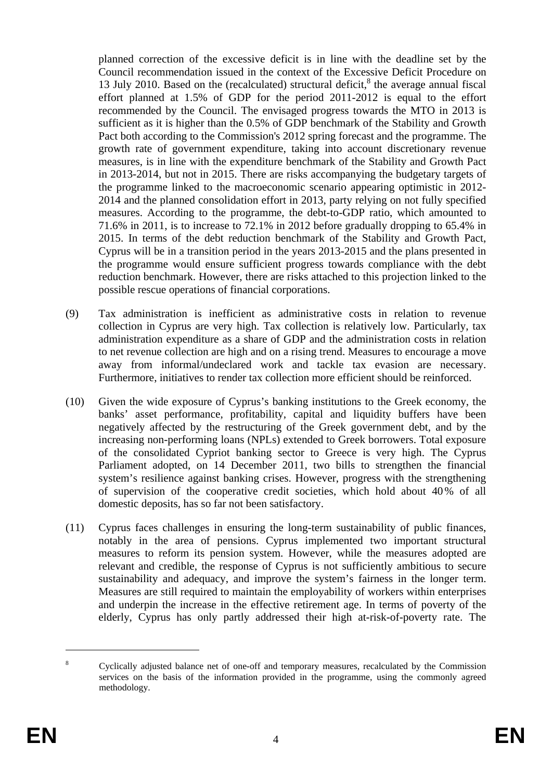planned correction of the excessive deficit is in line with the deadline set by the Council recommendation issued in the context of the Excessive Deficit Procedure on 13 July 2010. Based on the (recalculated) structural deficit, $<sup>8</sup>$  the average annual fiscal</sup> effort planned at 1.5% of GDP for the period 2011-2012 is equal to the effort recommended by the Council. The envisaged progress towards the MTO in 2013 is sufficient as it is higher than the 0.5% of GDP benchmark of the Stability and Growth Pact both according to the Commission's 2012 spring forecast and the programme. The growth rate of government expenditure, taking into account discretionary revenue measures, is in line with the expenditure benchmark of the Stability and Growth Pact in 2013-2014, but not in 2015. There are risks accompanying the budgetary targets of the programme linked to the macroeconomic scenario appearing optimistic in 2012- 2014 and the planned consolidation effort in 2013, party relying on not fully specified measures. According to the programme, the debt-to-GDP ratio, which amounted to 71.6% in 2011, is to increase to 72.1% in 2012 before gradually dropping to 65.4% in 2015. In terms of the debt reduction benchmark of the Stability and Growth Pact, Cyprus will be in a transition period in the years 2013-2015 and the plans presented in the programme would ensure sufficient progress towards compliance with the debt reduction benchmark. However, there are risks attached to this projection linked to the possible rescue operations of financial corporations.

- (9) Tax administration is inefficient as administrative costs in relation to revenue collection in Cyprus are very high. Tax collection is relatively low. Particularly, tax administration expenditure as a share of GDP and the administration costs in relation to net revenue collection are high and on a rising trend. Measures to encourage a move away from informal/undeclared work and tackle tax evasion are necessary. Furthermore, initiatives to render tax collection more efficient should be reinforced.
- (10) Given the wide exposure of Cyprus's banking institutions to the Greek economy, the banks' asset performance, profitability, capital and liquidity buffers have been negatively affected by the restructuring of the Greek government debt, and by the increasing non-performing loans (NPLs) extended to Greek borrowers. Total exposure of the consolidated Cypriot banking sector to Greece is very high. The Cyprus Parliament adopted, on 14 December 2011, two bills to strengthen the financial system's resilience against banking crises. However, progress with the strengthening of supervision of the cooperative credit societies, which hold about 40% of all domestic deposits, has so far not been satisfactory.
- (11) Cyprus faces challenges in ensuring the long-term sustainability of public finances, notably in the area of pensions. Cyprus implemented two important structural measures to reform its pension system. However, while the measures adopted are relevant and credible, the response of Cyprus is not sufficiently ambitious to secure sustainability and adequacy, and improve the system's fairness in the longer term. Measures are still required to maintain the employability of workers within enterprises and underpin the increase in the effective retirement age. In terms of poverty of the elderly, Cyprus has only partly addressed their high at-risk-of-poverty rate. The

1

<sup>8</sup> Cyclically adjusted balance net of one-off and temporary measures, recalculated by the Commission services on the basis of the information provided in the programme, using the commonly agreed methodology.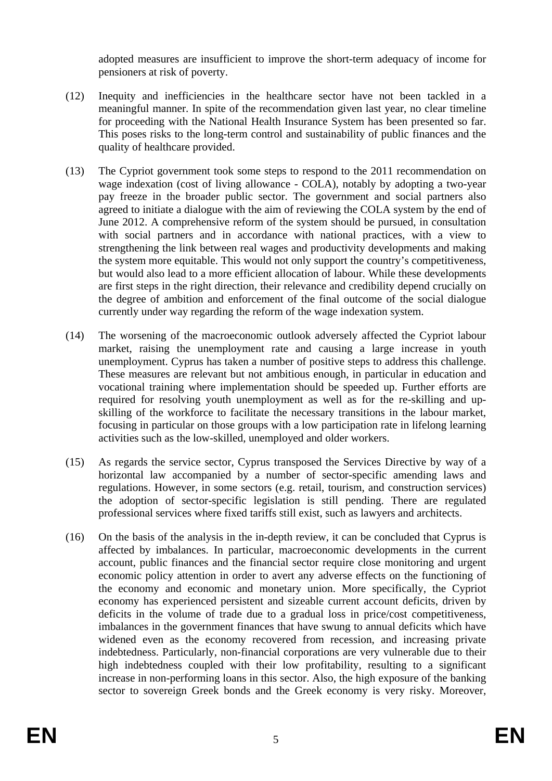adopted measures are insufficient to improve the short-term adequacy of income for pensioners at risk of poverty.

- (12) Inequity and inefficiencies in the healthcare sector have not been tackled in a meaningful manner. In spite of the recommendation given last year, no clear timeline for proceeding with the National Health Insurance System has been presented so far. This poses risks to the long-term control and sustainability of public finances and the quality of healthcare provided.
- (13) The Cypriot government took some steps to respond to the 2011 recommendation on wage indexation (cost of living allowance - COLA), notably by adopting a two-year pay freeze in the broader public sector. The government and social partners also agreed to initiate a dialogue with the aim of reviewing the COLA system by the end of June 2012. A comprehensive reform of the system should be pursued, in consultation with social partners and in accordance with national practices, with a view to strengthening the link between real wages and productivity developments and making the system more equitable. This would not only support the country's competitiveness, but would also lead to a more efficient allocation of labour. While these developments are first steps in the right direction, their relevance and credibility depend crucially on the degree of ambition and enforcement of the final outcome of the social dialogue currently under way regarding the reform of the wage indexation system.
- (14) The worsening of the macroeconomic outlook adversely affected the Cypriot labour market, raising the unemployment rate and causing a large increase in youth unemployment. Cyprus has taken a number of positive steps to address this challenge. These measures are relevant but not ambitious enough, in particular in education and vocational training where implementation should be speeded up. Further efforts are required for resolving youth unemployment as well as for the re-skilling and upskilling of the workforce to facilitate the necessary transitions in the labour market, focusing in particular on those groups with a low participation rate in lifelong learning activities such as the low-skilled, unemployed and older workers.
- (15) As regards the service sector, Cyprus transposed the Services Directive by way of a horizontal law accompanied by a number of sector-specific amending laws and regulations. However, in some sectors (e.g. retail, tourism, and construction services) the adoption of sector-specific legislation is still pending. There are regulated professional services where fixed tariffs still exist, such as lawyers and architects.
- (16) On the basis of the analysis in the in-depth review, it can be concluded that Cyprus is affected by imbalances. In particular, macroeconomic developments in the current account, public finances and the financial sector require close monitoring and urgent economic policy attention in order to avert any adverse effects on the functioning of the economy and economic and monetary union. More specifically, the Cypriot economy has experienced persistent and sizeable current account deficits, driven by deficits in the volume of trade due to a gradual loss in price/cost competitiveness, imbalances in the government finances that have swung to annual deficits which have widened even as the economy recovered from recession, and increasing private indebtedness. Particularly, non-financial corporations are very vulnerable due to their high indebtedness coupled with their low profitability, resulting to a significant increase in non-performing loans in this sector. Also, the high exposure of the banking sector to sovereign Greek bonds and the Greek economy is very risky. Moreover,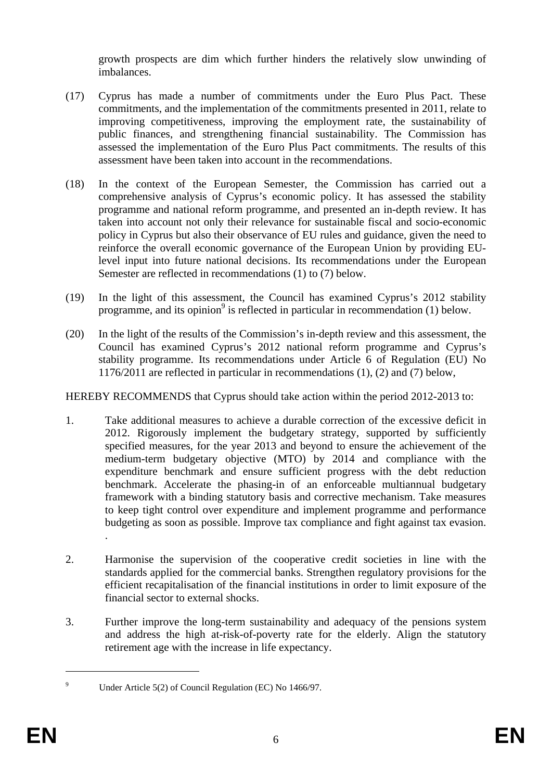growth prospects are dim which further hinders the relatively slow unwinding of imbalances.

- (17) Cyprus has made a number of commitments under the Euro Plus Pact. These commitments, and the implementation of the commitments presented in 2011, relate to improving competitiveness, improving the employment rate, the sustainability of public finances, and strengthening financial sustainability. The Commission has assessed the implementation of the Euro Plus Pact commitments. The results of this assessment have been taken into account in the recommendations.
- (18) In the context of the European Semester, the Commission has carried out a comprehensive analysis of Cyprus's economic policy. It has assessed the stability programme and national reform programme, and presented an in-depth review. It has taken into account not only their relevance for sustainable fiscal and socio-economic policy in Cyprus but also their observance of EU rules and guidance, given the need to reinforce the overall economic governance of the European Union by providing EUlevel input into future national decisions. Its recommendations under the European Semester are reflected in recommendations (1) to (7) below.
- (19) In the light of this assessment, the Council has examined Cyprus's 2012 stability programme, and its opinion<sup>9</sup> is reflected in particular in recommendation  $(1)$  below.
- (20) In the light of the results of the Commission's in-depth review and this assessment, the Council has examined Cyprus's 2012 national reform programme and Cyprus's stability programme. Its recommendations under Article 6 of Regulation (EU) No 1176/2011 are reflected in particular in recommendations (1), (2) and (7) below,

HEREBY RECOMMENDS that Cyprus should take action within the period 2012-2013 to:

- 1. Take additional measures to achieve a durable correction of the excessive deficit in 2012. Rigorously implement the budgetary strategy, supported by sufficiently specified measures, for the year 2013 and beyond to ensure the achievement of the medium-term budgetary objective (MTO) by 2014 and compliance with the expenditure benchmark and ensure sufficient progress with the debt reduction benchmark. Accelerate the phasing-in of an enforceable multiannual budgetary framework with a binding statutory basis and corrective mechanism. Take measures to keep tight control over expenditure and implement programme and performance budgeting as soon as possible. Improve tax compliance and fight against tax evasion.
- 2. Harmonise the supervision of the cooperative credit societies in line with the standards applied for the commercial banks. Strengthen regulatory provisions for the efficient recapitalisation of the financial institutions in order to limit exposure of the financial sector to external shocks.
- 3. Further improve the long-term sustainability and adequacy of the pensions system and address the high at-risk-of-poverty rate for the elderly. Align the statutory retirement age with the increase in life expectancy.

<u>.</u>

.

 $\overline{9}$ Under Article 5(2) of Council Regulation (EC) No 1466/97.